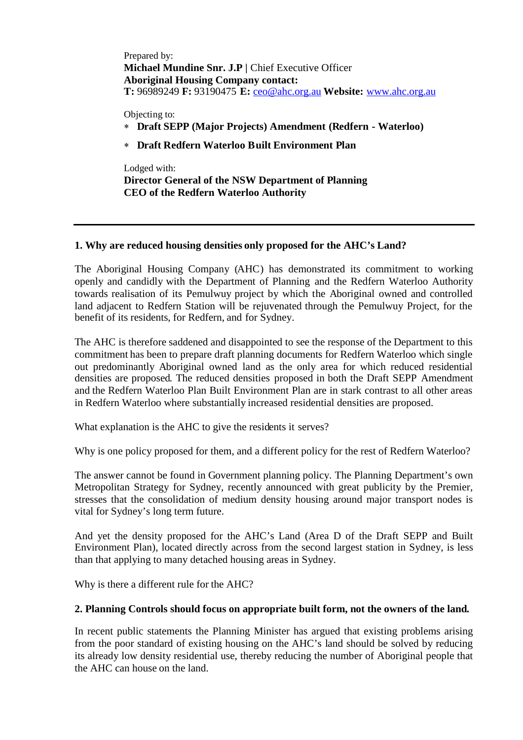Prepared by: **Michael Mundine Snr. J.P |** Chief Executive Officer **Aboriginal Housing Company contact: T:** 96989249 **F:** 93190475 **E:** ceo@ahc.org.au **Website:** www.ahc.org.au

Objecting to:

- **Draft SEPP (Major Projects) Amendment (Redfern - Waterloo)**
- **Draft Redfern Waterloo Built Environment Plan**

Lodged with: **Director General of the NSW Department of Planning CEO of the Redfern Waterloo Authority**

## **1. Why are reduced housing densities only proposed for the AHC's Land?**

The Aboriginal Housing Company (AHC) has demonstrated its commitment to working openly and candidly with the Department of Planning and the Redfern Waterloo Authority towards realisation of its Pemulwuy project by which the Aboriginal owned and controlled land adjacent to Redfern Station will be rejuvenated through the Pemulwuy Project, for the benefit of its residents, for Redfern, and for Sydney.

The AHC is therefore saddened and disappointed to see the response of the Department to this commitment has been to prepare draft planning documents for Redfern Waterloo which single out predominantly Aboriginal owned land as the only area for which reduced residential densities are proposed. The reduced densities proposed in both the Draft SEPP Amendment and the Redfern Waterloo Plan Built Environment Plan are in stark contrast to all other areas in Redfern Waterloo where substantially increased residential densities are proposed.

What explanation is the AHC to give the residents it serves?

Why is one policy proposed for them, and a different policy for the rest of Redfern Waterloo?

The answer cannot be found in Government planning policy. The Planning Department's own Metropolitan Strategy for Sydney, recently announced with great publicity by the Premier, stresses that the consolidation of medium density housing around major transport nodes is vital for Sydney's long term future.

And yet the density proposed for the AHC's Land (Area D of the Draft SEPP and Built Environment Plan), located directly across from the second largest station in Sydney, is less than that applying to many detached housing areas in Sydney.

Why is there a different rule for the AHC?

### **2. Planning Controls should focus on appropriate built form, not the owners of the land.**

In recent public statements the Planning Minister has argued that existing problems arising from the poor standard of existing housing on the AHC's land should be solved by reducing its already low density residential use, thereby reducing the number of Aboriginal people that the AHC can house on the land.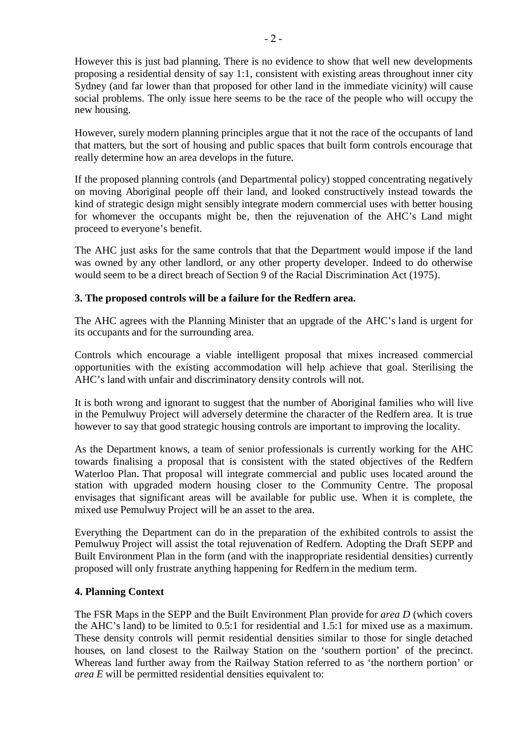However this is just bad planning. There is no evidence to show that well new developments proposing a residential density of say 1:1, consistent with existing areas throughout inner city Sydney (and far lower than that proposed for other land in the immediate vicinity) will cause social problems. The only issue here seems to be the race of the people who will occupy the new housing.

However, surely modern planning principles argue that it not the race of the occupants of land that matters, but the sort of housing and public spaces that built form controls encourage that really determine how an area develops in the future.

If the proposed planning controls (and Departmental policy) stopped concentrating negatively on moving Aboriginal people off their land, and looked constructively instead towards the kind of strategic design might sensibly integrate modern commercial uses with better housing for whomever the occupants might be, then the rejuvenation of the AHC's Land might proceed to everyone's benefit.

The AHC just asks for the same controls that that the Department would impose if the land was owned by any other landlord, or any other property developer. Indeed to do otherwise would seem to be a direct breach of Section 9 of the Racial Discrimination Act (1975).

# **3. The proposed controls will be a failure for the Redfern area.**

The AHC agrees with the Planning Minister that an upgrade of the AHC's land is urgent for its occupants and for the surrounding area.

Controls which encourage a viable intelligent proposal that mixes increased commercial opportunities with the existing accommodation will help achieve that goal. Sterilising the AHC's land with unfair and discriminatory density controls will not.

It is both wrong and ignorant to suggest that the number of Aboriginal families who will live in the Pemulwuy Project will adversely determine the character of the Redfern area. It is true however to say that good strategic housing controls are important to improving the locality.

As the Department knows, a team of senior professionals is currently working for the AHC towards finalising a proposal that is consistent with the stated objectives of the Redfern Waterloo Plan. That proposal will integrate commercial and public uses located around the station with upgraded modern housing closer to the Community Centre. The proposal envisages that significant areas will be available for public use. When it is complete, the mixed use Pemulwuy Project will be an asset to the area.

Everything the Department can do in the preparation of the exhibited controls to assist the Pemulwuy Project will assist the total rejuvenation of Redfern. Adopting the Draft SEPP and Built Environment Plan in the form (and with the inappropriate residential densities) currently proposed will only frustrate anything happening for Redfern in the medium term.

### **4. Planning Context**

The FSR Maps in the SEPP and the Built Environment Plan provide for *area D* (which covers the AHC's land) to be limited to 0.5:1 for residential and 1.5:1 for mixed use as a maximum. These density controls will permit residential densities similar to those for single detached houses, on land closest to the Railway Station on the 'southern portion' of the precinct. Whereas land further away from the Railway Station referred to as 'the northern portion' or *area E* will be permitted residential densities equivalent to: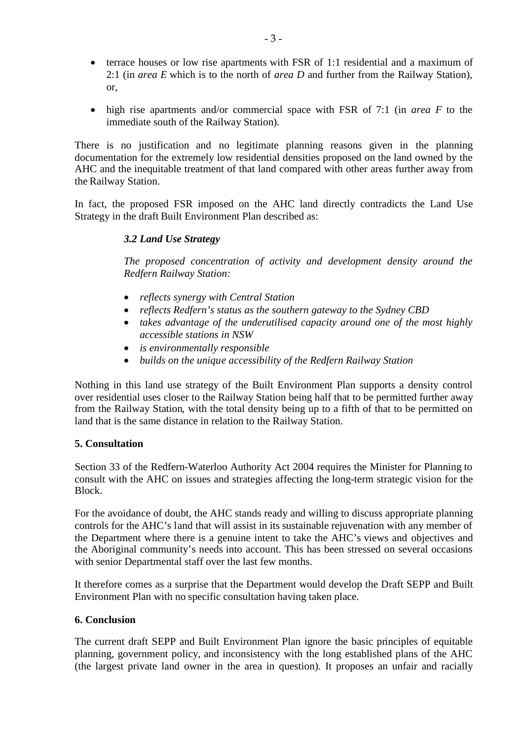- terrace houses or low rise apartments with FSR of 1:1 residential and a maximum of 2:1 (in *area E* which is to the north of *area D* and further from the Railway Station), or,
- high rise apartments and/or commercial space with FSR of 7:1 (in *area F* to the immediate south of the Railway Station).

There is no justification and no legitimate planning reasons given in the planning documentation for the extremely low residential densities proposed on the land owned by the AHC and the inequitable treatment of that land compared with other areas further away from the Railway Station.

In fact, the proposed FSR imposed on the AHC land directly contradicts the Land Use Strategy in the draft Built Environment Plan described as:

# *3.2 Land Use Strategy*

*The proposed concentration of activity and development density around the Redfern Railway Station:*

- *reflects synergy with Central Station*
- *reflects Redfern's status as the southern gateway to the Sydney CBD*
- *takes advantage of the underutilised capacity around one of the most highly accessible stations in NSW*
- *is environmentally responsible*
- *builds on the unique accessibility of the Redfern Railway Station*

Nothing in this land use strategy of the Built Environment Plan supports a density control over residential uses closer to the Railway Station being half that to be permitted further away from the Railway Station, with the total density being up to a fifth of that to be permitted on land that is the same distance in relation to the Railway Station.

### **5. Consultation**

Section 33 of the Redfern-Waterloo Authority Act 2004 requires the Minister for Planning to consult with the AHC on issues and strategies affecting the long-term strategic vision for the Block.

For the avoidance of doubt, the AHC stands ready and willing to discuss appropriate planning controls for the AHC's land that will assist in its sustainable rejuvenation with any member of the Department where there is a genuine intent to take the AHC's views and objectives and the Aboriginal community's needs into account. This has been stressed on several occasions with senior Departmental staff over the last few months.

It therefore comes as a surprise that the Department would develop the Draft SEPP and Built Environment Plan with no specific consultation having taken place.

### **6. Conclusion**

The current draft SEPP and Built Environment Plan ignore the basic principles of equitable planning, government policy, and inconsistency with the long established plans of the AHC (the largest private land owner in the area in question). It proposes an unfair and racially